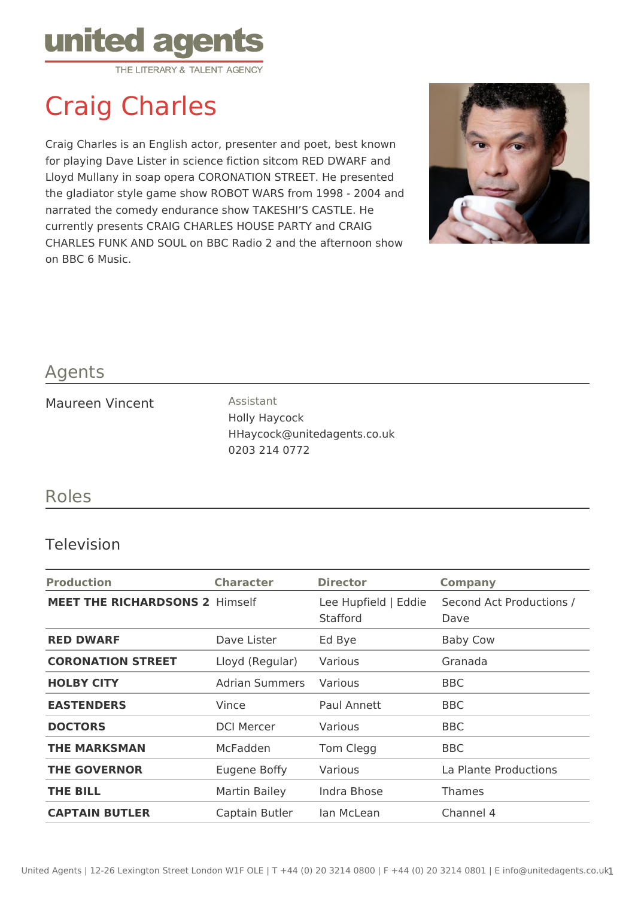

# Craig Charles

Craig Charles is an English actor, presenter and poet, best known for playing Dave Lister in science fiction sitcom RED DWARF and Lloyd Mullany in soap opera CORONATION STREET. He presented the gladiator style game show ROBOT WARS from 1998 - 2004 and narrated the comedy endurance show TAKESHI'S CASTLE. He currently presents CRAIG CHARLES HOUSE PARTY and CRAIG CHARLES FUNK AND SOUL on BBC Radio 2 and the afternoon show on BBC 6 Music.



## Agents

#### Maureen Vincent **Assistant**

Holly Haycock HHaycock@unitedagents.co.uk 0203 214 0772

## Roles

#### Television

| <b>Production</b>                     | <b>Character</b>  | <b>Director</b>                  | <b>Company</b>                   |
|---------------------------------------|-------------------|----------------------------------|----------------------------------|
| <b>MEET THE RICHARDSONS 2 Himself</b> |                   | Lee Hupfield   Eddie<br>Stafford | Second Act Productions /<br>Dave |
| <b>RED DWARF</b>                      | Dave Lister       | Ed Bye                           | <b>Baby Cow</b>                  |
| <b>CORONATION STREET</b>              | Lloyd (Regular)   | Various                          | Granada                          |
| <b>HOLBY CITY</b>                     | Adrian Summers    | Various                          | <b>BBC</b>                       |
| <b>EASTENDERS</b>                     | Vince             | Paul Annett                      | <b>BBC</b>                       |
| <b>DOCTORS</b>                        | <b>DCI Mercer</b> | Various                          | <b>BBC</b>                       |
| <b>THE MARKSMAN</b>                   | McFadden          | Tom Clegg                        | <b>BBC</b>                       |
| <b>THE GOVERNOR</b>                   | Eugene Boffy      | Various                          | La Plante Productions            |
| THE BILL                              | Martin Bailey     | Indra Bhose                      | Thames                           |
| <b>CAPTAIN BUTLER</b>                 | Captain Butler    | lan McLean                       | Channel 4                        |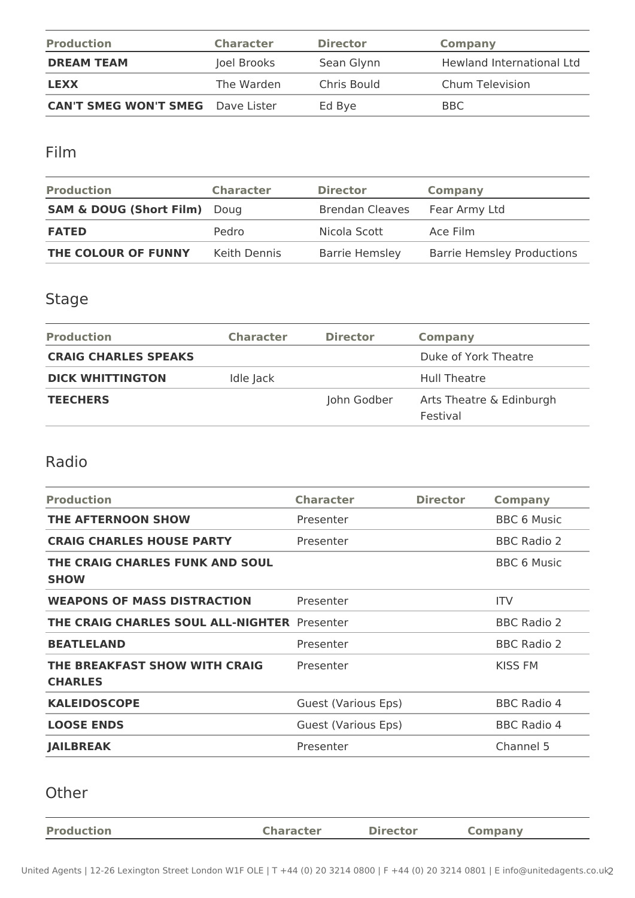| <b>Production</b>                        | <b>Character</b> | <b>Director</b> | Company                   |
|------------------------------------------|------------------|-----------------|---------------------------|
| <b>DREAM TEAM</b>                        | Joel Brooks      | Sean Glynn      | Hewland International Ltd |
| <b>LEXX</b>                              | The Warden       | Chris Bould     | Chum Television           |
| <b>CAN'T SMEG WON'T SMEG</b> Dave Lister |                  | Ed Bye          | BBC                       |

Film

| <b>Production</b>                  | <b>Character</b> | <b>Director</b>        | Company                           |
|------------------------------------|------------------|------------------------|-----------------------------------|
| <b>SAM &amp; DOUG (Short Film)</b> | Doug             | <b>Brendan Cleaves</b> | Fear Army Ltd                     |
| <b>FATED</b>                       | Pedro            | Nicola Scott           | Ace Film                          |
| THE COLOUR OF FUNNY                | Keith Dennis     | <b>Barrie Hemsley</b>  | <b>Barrie Hemsley Productions</b> |

## Stage

| <b>Production</b>           | <b>Character</b> | <b>Director</b> | <b>Company</b>                       |
|-----------------------------|------------------|-----------------|--------------------------------------|
| <b>CRAIG CHARLES SPEAKS</b> |                  |                 | Duke of York Theatre                 |
| <b>DICK WHITTINGTON</b>     | Idle Jack        |                 | Hull Theatre                         |
| <b>TEECHERS</b>             |                  | John Godber     | Arts Theatre & Edinburgh<br>Festival |

### Radio

| <b>Production</b>                                   | <b>Character</b>    | <b>Director</b> | <b>Company</b>     |
|-----------------------------------------------------|---------------------|-----------------|--------------------|
| <b>THE AFTERNOON SHOW</b>                           | Presenter           |                 | <b>BBC 6 Music</b> |
| <b>CRAIG CHARLES HOUSE PARTY</b>                    | Presenter           |                 | <b>BBC Radio 2</b> |
| THE CRAIG CHARLES FUNK AND SOUL<br><b>SHOW</b>      |                     |                 | <b>BBC 6 Music</b> |
| <b>WEAPONS OF MASS DISTRACTION</b>                  | Presenter           |                 | <b>ITV</b>         |
| <b>THE CRAIG CHARLES SOUL ALL-NIGHTER Presenter</b> |                     |                 | <b>BBC Radio 2</b> |
| <b>BEATLELAND</b>                                   | Presenter           |                 | <b>BBC Radio 2</b> |
| THE BREAKFAST SHOW WITH CRAIG<br><b>CHARLES</b>     | Presenter           |                 | KISS FM            |
| <b>KALEIDOSCOPE</b>                                 | Guest (Various Eps) |                 | <b>BBC Radio 4</b> |
| <b>LOOSE ENDS</b>                                   | Guest (Various Eps) |                 | <b>BBC Radio 4</b> |
| <b>JAILBREAK</b>                                    | Presenter           |                 | Channel 5          |

## Other

| <b>Production</b> | <b>Character</b> | <b>Director</b> | Company |
|-------------------|------------------|-----------------|---------|
|                   |                  |                 |         |